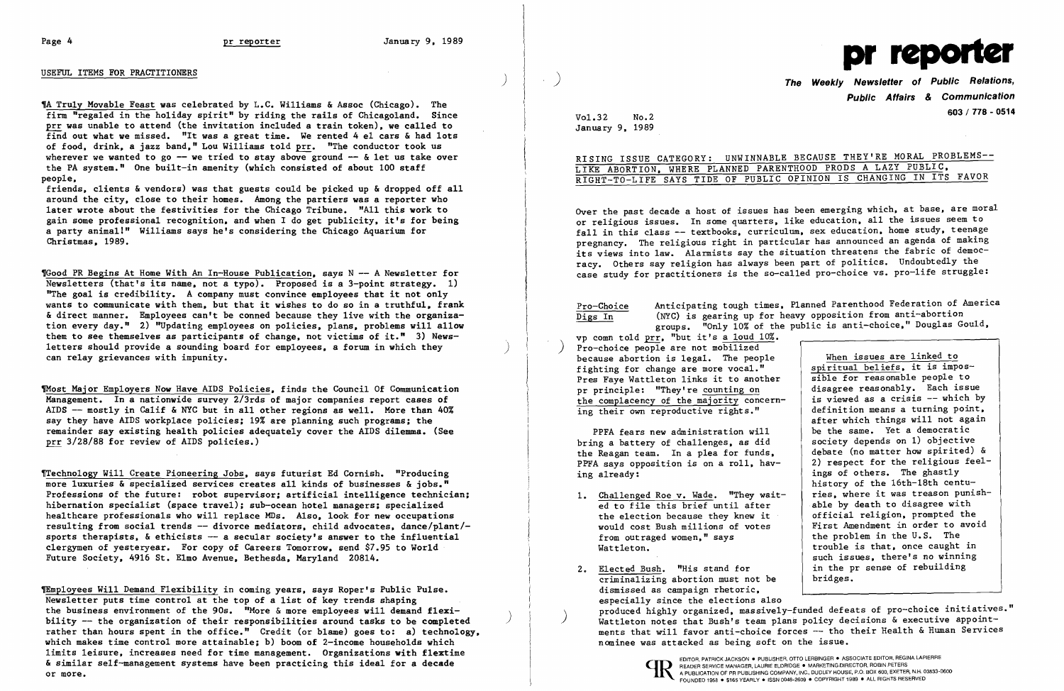## USEFUL ITEMS FOR PRACTITIONERS

TA Truly Movable Feast was celebrated by L.C. Williams & Assoc (Chicago). The firm "regaled in the holiday spirit" by riding the rails of Chicagoland. Since prr was unable to attend (the invitation included a train token), we called to find out what we missed. "It was a great time. We rented 4 e1 cars  $\&$  had lots of food, drink, a jazz band," Lou Williams told prr. "The conductor took us wherever we wanted to go  $-$  we tried to stay above ground  $-$  & let us take over the PA system." One built-in amenity (which consisted of about 100 staff people.

friends. clients & vendors) was that guests could be picked up & dropped off all around the city. close to their homes. Among the partiers was a reporter who later wrote about the festivities for the Chicago Tribune. "All this work to gain some professional recognition. and when I do get publicity, it's for being a party animal!" Williams says he's considering the Chicago Aquarium for Christmas. 1989.

'Good PR Begins At Home With An In-House Publication. says N - A Newsletter for Newsletters (that's its name. not a typo). Proposed is a 3-point strategy. 1) "The goal is credibility. A company must convince employees that it not only wants to communicate with them, but that it wishes to do so in a truthful, frank & direct manner. Employees can't be conned because they live with the organization every day." 2) "Updating employees on policies, plans, problems will allow them to see themselves as participants of change, not victims of it." 3) Newsletters should provide a sounding board for employees, a forum in which they  $)$ 

Thost Major Employers Now Have AIDS Policies. finds the Council Of Communication Management. In a nationwide survey 2/3rds of major companies report cases of AIDS -- mostly in Calif & NYC but in all other regions as well. More than 40% say they have AIDS workplace policies: 19% are planning such programs: the remainder say existing health policies adequately cover the AIDS dilemma. (See prr 3/28/88 for review of AIDS policies.)

The Weekly Newsletter of Public Relations, Public Affairs & Communication 603/178 - <sup>0514</sup> Vol.32 No.2

|  |  |  |  |                             | E BECAUSE THEY'RE MORAL PROBLEMS-- |  |
|--|--|--|--|-----------------------------|------------------------------------|--|
|  |  |  |  | NTHOOD PRODS A LAZY PUBLIC. |                                    |  |
|  |  |  |  |                             | OPINION IS CHANGING IN ITS FAVOR   |  |

 $No.2$ January 9, 1989

# RISING ISSUE CATEGORY: UNWINNABLE LIKE ABORTION, WHERE PLANNED PAREN RIGHT-TO-LIFE SAYS TIDE OF PUBLIC

vp comn told prr, "but it's a loud 10%. Pro-choice people are not mobilized because abortion is legal. The people fighting for change are more vocal." Pres Faye Watt1eton links it to another pr principle: "They're counting on the complacency of the majority concerning their own reproductive rights."

fTechno10gy Will Create Pioneering Jobs, says futurist Ed Cornish. "Producing more luxuries & specialized services creates all kinds of businesses & jobs." Professions of the future: robot supervisor: artificial intelligence technician: hibernation specialist (space travel); sub-ocean hotel managers; specialized hea1thcare professionals who will replace MDs. Also. look for new occupations resulting from social trends -- divorce mediators, child advocates, dance/plant/sports therapists,  $\&$  ethicists -- a secular society's answer to the influential clergymen of yesteryear. For copy of Careers Tomorrow. send \$7.95 to World Future Society. 4916 St. Elmo Avenue. Bethesda. Maryland 20814.

fEmp10yees Will Demand Flexibility in coming years, says Roper's Public Pulse. Newsletter puts time control at the top of a list of key trends shaping the business environment of the 90s. "More & more employees will demand flexibility -- the organization of their responsibilities around tasks to be completed rather than hours spent in the office." Credit (or blame) goes to: a) technology, which makes time control more attainable; b) boom of 2-income households which limits leisure, increases need for time management. Organizations with flextime & similar se1f-management systems have been practicing this ideal for a decade or more.

- 1. Challenged Roe v. Wade. "They waited to file this brief until after the election because they knew it would cost Bush millions of votes from outraged women," says Watt1eton.
- 2. Elected Bush. "His stand for crimina1izing abortion must not be dismissed as campaign rhetoric, especially since the elections also nominee was attacked as being soft on the issue.

)



Over the past decade a host of issues has been emerging which, at base, are moral or religious issues. In some quarters, like education, all the issues seem to fall in this class -- textbooks, curriculum, sex education, home study, teenage pregnancy. The religious right in particular has announced an agenda of making its views into law. Alarmists say the situation threatens the fabric of democracy. Others say religion has always been part of politics. Undoubtedly the case study for practitioners is the so-called pro-choice vs. pro-life struggle:

Anticipating tough times, Planned Parenthood Federation of America Digs In (NYC) is gearing up for heavy opposition from anti-abortion groups. "Only 10% of the public is anti-choice," Douglas Gould,

Pro-Choice

PPFA fears new administration will bring a battery of challenges, as did the Reagan team. In a plea for funds, PPFA says opposition is on a roll, having already:

When issues are linked to spiritual beliefs. it is impossible for reasonable people to disagree reasonably. Each issue is viewed as a crisis -- which by definition means a turning point, after which things will not again be the same. Yet a democratic society depends on 1) objective debate (no matter how spirited) & 2) respect for the religious feelings of others. The ghastly history of the 16th-18th centuries, where it was treason punishable by death to disagree with official religion, prompted the First Amendment in order to avoid the problem in the U.S. The trouble is that, once caught in such issues. there's no winning in the pr sense of rebuilding bridges.

produced highly organized, massively-funded defeats of pro-choice initiatives."<br>Wattleton notes that Bush's team plans policy decisions & executive appointments that will favor anti-choice forces -- tho their Health & Human Services